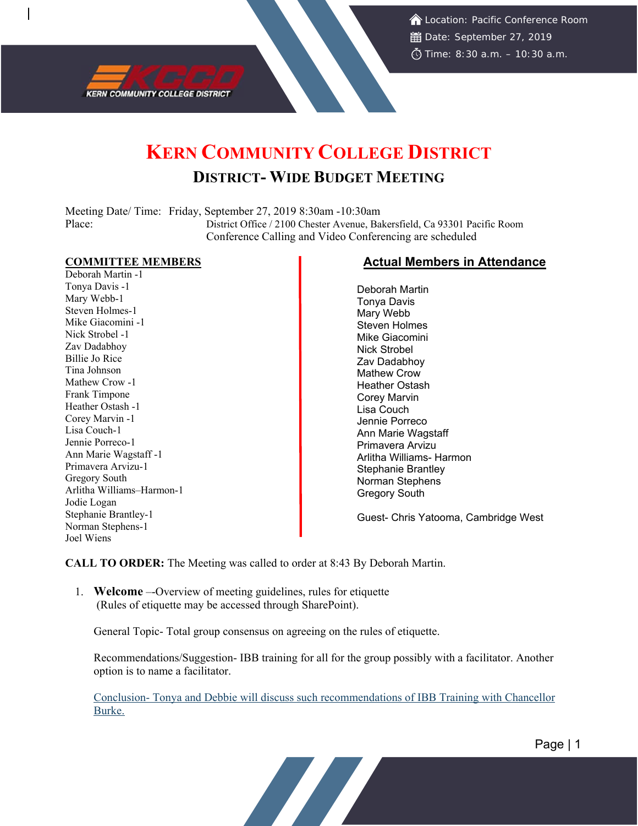**KERN COMMUNITY COLLEGE DISTRICT DISTRICT- WIDE BUDGET MEETING**

Meeting Date/ Time: Friday, September 27, 2019 8:30am -10:30am Place: District Office / 2100 Chester Avenue, Bakersfield, Ca 93301 Pacific Room Conference Calling and Video Conferencing are scheduled

#### **COMMITTEE MEMBERS**

**KERN COMMUNITY COLLEGE DISTRICT** 

Deborah Martin -1 Tonya Davis -1 Mary Webb-1 Steven Holmes-1 Mike Giacomini -1 Nick Strobel -1 Zav Dadabhoy Billie Jo Rice Tina Johnson Mathew Crow -1 Frank Timpone Heather Ostash -1 Corey Marvin -1 Lisa Couch-1 Jennie Porreco-1 Ann Marie Wagstaff -1 Primavera Arvizu-1 Gregory South Arlitha Williams–Harmon-1 Jodie Logan Stephanie Brantley-1 Norman Stephens-1 Joel Wiens

#### **Actual Members in Attendance**

Deborah Martin Tonya Davis Mary Webb Steven Holmes Mike Giacomini Nick Strobel Zav Dadabhoy Mathew Crow Heather Ostash Corey Marvin Lisa Couch Jennie Porreco Ann Marie Wagstaff Primavera Arvizu Arlitha Williams- Harmon Stephanie Brantley Norman Stephens Gregory South

Guest- Chris Yatooma, Cambridge West

**CALL TO ORDER:** The Meeting was called to order at 8:43 By Deborah Martin.

1. **Welcome** –-Overview of meeting guidelines, rules for etiquette (Rules of etiquette may be accessed through SharePoint).

General Topic- Total group consensus on agreeing on the rules of etiquette.

Recommendations/Suggestion- IBB training for all for the group possibly with a facilitator. Another option is to name a facilitator.

Conclusion- Tonya and Debbie will discuss such recommendations of IBB Training with Chancellor Burke.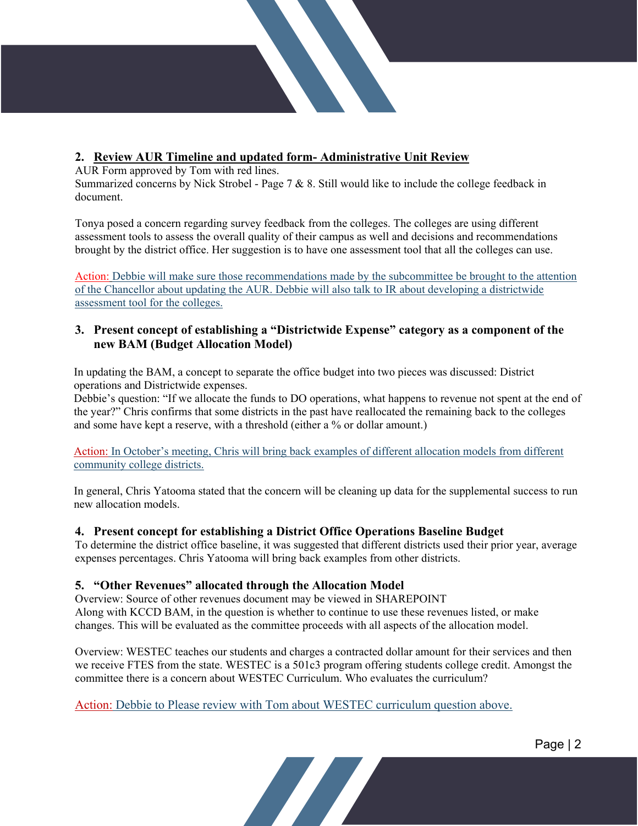# **2. Review AUR Timeline and updated form- Administrative Unit Review**

AUR Form approved by Tom with red lines.

Summarized concerns by Nick Strobel - Page 7 & 8. Still would like to include the college feedback in document.

Tonya posed a concern regarding survey feedback from the colleges. The colleges are using different assessment tools to assess the overall quality of their campus as well and decisions and recommendations brought by the district office. Her suggestion is to have one assessment tool that all the colleges can use.

Action: Debbie will make sure those recommendations made by the subcommittee be brought to the attention of the Chancellor about updating the AUR. Debbie will also talk to IR about developing a districtwide assessment tool for the colleges.

## **3. Present concept of establishing a "Districtwide Expense" category as a component of the new BAM (Budget Allocation Model)**

In updating the BAM, a concept to separate the office budget into two pieces was discussed: District operations and Districtwide expenses.

Debbie's question: "If we allocate the funds to DO operations, what happens to revenue not spent at the end of the year?" Chris confirms that some districts in the past have reallocated the remaining back to the colleges and some have kept a reserve, with a threshold (either a % or dollar amount.)

Action: In October's meeting, Chris will bring back examples of different allocation models from different community college districts.

In general, Chris Yatooma stated that the concern will be cleaning up data for the supplemental success to run new allocation models.

## **4. Present concept for establishing a District Office Operations Baseline Budget**

To determine the district office baseline, it was suggested that different districts used their prior year, average expenses percentages. Chris Yatooma will bring back examples from other districts.

## **5. "Other Revenues" allocated through the Allocation Model**

Overview: Source of other revenues document may be viewed in SHAREPOINT Along with KCCD BAM, in the question is whether to continue to use these revenues listed, or make changes. This will be evaluated as the committee proceeds with all aspects of the allocation model.

Overview: WESTEC teaches our students and charges a contracted dollar amount for their services and then we receive FTES from the state. WESTEC is a 501c3 program offering students college credit. Amongst the committee there is a concern about WESTEC Curriculum. Who evaluates the curriculum?

Action: Debbie to Please review with Tom about WESTEC curriculum question above.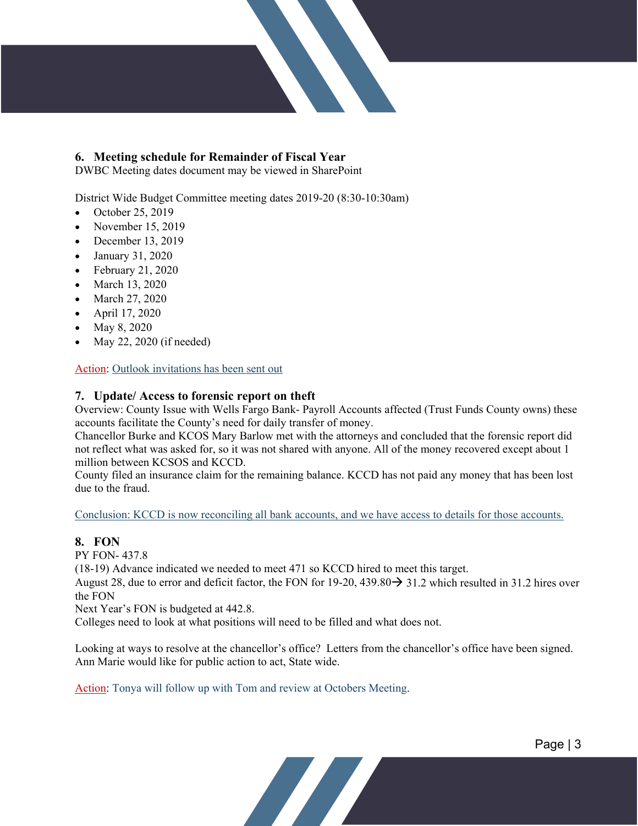

## **6. Meeting schedule for Remainder of Fiscal Year**

DWBC Meeting dates document may be viewed in SharePoint

District Wide Budget Committee meeting dates 2019-20 (8:30-10:30am)

- $\bullet$  October 25, 2019
- November  $15, 2019$
- $\bullet$  December 13, 2019
- January 31, 2020
- $\bullet$  February 21, 2020
- March 13, 2020
- March 27, 2020
- April 17, 2020
- May 8, 2020
- May 22, 2020 (if needed)

Action: Outlook invitations has been sent out

## **7. Update/ Access to forensic report on theft**

Overview: County Issue with Wells Fargo Bank- Payroll Accounts affected (Trust Funds County owns) these accounts facilitate the County's need for daily transfer of money.

Chancellor Burke and KCOS Mary Barlow met with the attorneys and concluded that the forensic report did not reflect what was asked for, so it was not shared with anyone. All of the money recovered except about 1 million between KCSOS and KCCD.

County filed an insurance claim for the remaining balance. KCCD has not paid any money that has been lost due to the fraud.

Conclusion: KCCD is now reconciling all bank accounts, and we have access to details for those accounts.

## **8. FON**

PY FON- 437.8

(18-19) Advance indicated we needed to meet 471 so KCCD hired to meet this target.

August 28, due to error and deficit factor, the FON for 19-20, 439.80  $\rightarrow$  31.2 which resulted in 31.2 hires over the FON

Next Year's FON is budgeted at 442.8.

Colleges need to look at what positions will need to be filled and what does not.

Looking at ways to resolve at the chancellor's office? Letters from the chancellor's office have been signed. Ann Marie would like for public action to act, State wide.

Action: Tonya will follow up with Tom and review at Octobers Meeting.